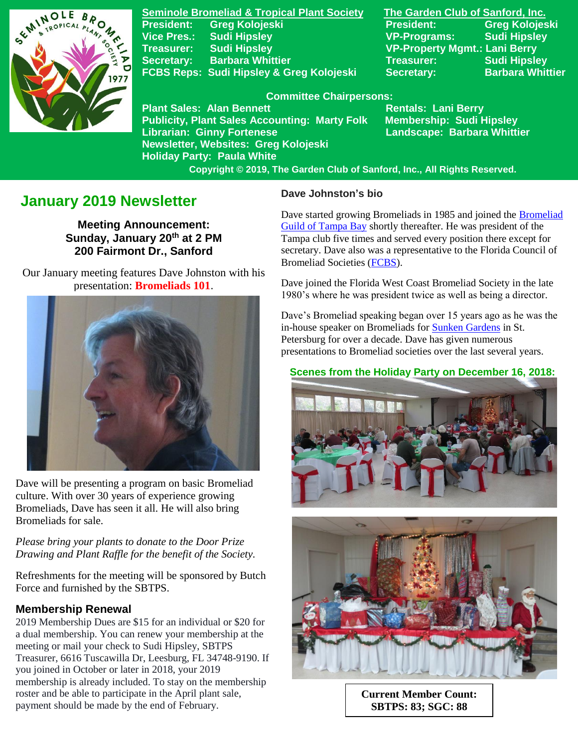

**Seminole Bromeliad & Tropical Plant Society The Garden Club of Sanford, Inc.** President: Greg Kolojeski **President: Greg Kolojeski Vice Pres.: Sudi Hipsley VP-Programs: Sudi Hipsley Treasurer: Sudi Hipsley VP-Property Mgmt.: Lani Berry Secretary:** Barbara Whittier **Network Secretary:** Sudi Hipsley **FCBS Reps: Sudi Hipsley & Greg Kolojeski Secretary: Barbara Whittier** 

#### **Committee Chairpersons:**

**Plant Sales: Alan Bennett** Rentals: Lani Berry **Publicity, Plant Sales Accounting: Marty Folk Membership: Sudi Hipsley Librarian: Ginny Fortenese Landscape: Barbara Whittier Newsletter, Websites: Greg Kolojeski Holiday Party: Paula White** 

 **Copyright © 2019, The Garden Club of Sanford, Inc., All Rights Reserved.**

# **January 2019 Newsletter**

**Meeting Announcement: Sunday, January 20th at 2 PM 200 Fairmont Dr., Sanford**

 Our January meeting features Dave Johnston with his presentation: **Bromeliads 101**.



 Dave will be presenting a program on basic Bromeliad culture. With over 30 years of experience growing Bromeliads, Dave has seen it all. He will also bring Bromeliads for sale.

*Please bring your plants to donate to the Door Prize Drawing and Plant Raffle for the benefit of the Society.*

Refreshments for the meeting will be sponsored by Butch Force and furnished by the SBTPS.

#### **Membership Renewal**

2019 Membership Dues are \$15 for an individual or \$20 for a dual membership. You can renew your membership at the meeting or mail your check to Sudi Hipsley, SBTPS Treasurer, 6616 Tuscawilla Dr, Leesburg, FL 34748-9190. If you joined in October or later in 2018, your 2019 membership is already included. To stay on the membership roster and be able to participate in the April plant sale, payment should be made by the end of February.

#### **Dave Johnston's bio**

Dave started growing Bromeliads in 1985 and joined the [Bromeliad](http://www.bromeliadguildoftampabay.org/)  [Guild of Tampa Bay](http://www.bromeliadguildoftampabay.org/) shortly thereafter. He was president of the Tampa club five times and served every position there except for secretary. Dave also was a representative to the Florida Council of Bromeliad Societies [\(FCBS\)](http://fcbs.org/_index.php).

Dave joined the Florida West Coast Bromeliad Society in the late 1980's where he was president twice as well as being a director.

Dave's Bromeliad speaking began over 15 years ago as he was the in-house speaker on Bromeliads for **Sunken Gardens** in St. Petersburg for over a decade. Dave has given numerous presentations to Bromeliad societies over the last several years.

### **Scenes from the Holiday Party on December 16, 2018:**





**Current Member Count: SBTPS: 83; SGC: 88**